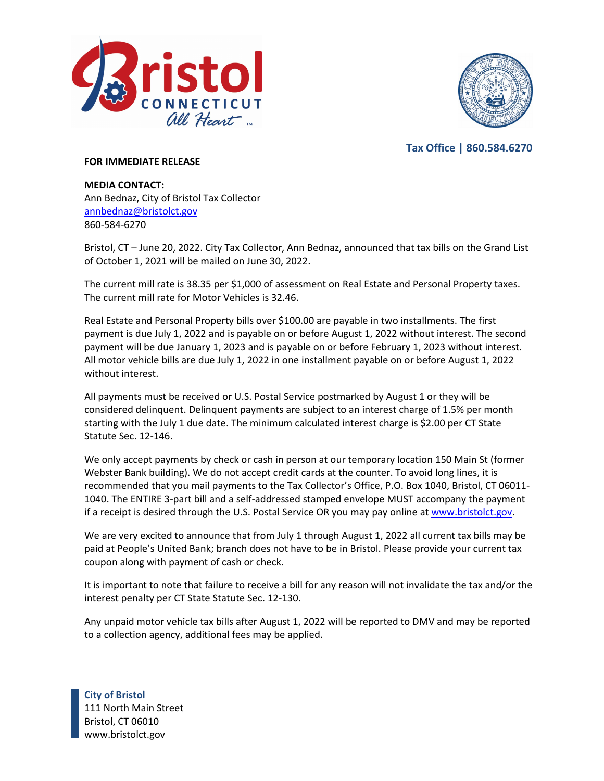



**Tax Office | 860.584.6270**

## **FOR IMMEDIATE RELEASE**

**MEDIA CONTACT:** Ann Bednaz, City of Bristol Tax Collector [annbednaz@bristolct.gov](mailto:annbednaz@bristolct.gov) 860-584-6270

Bristol, CT – June 20, 2022. City Tax Collector, Ann Bednaz, announced that tax bills on the Grand List of October 1, 2021 will be mailed on June 30, 2022.

The current mill rate is 38.35 per \$1,000 of assessment on Real Estate and Personal Property taxes. The current mill rate for Motor Vehicles is 32.46.

Real Estate and Personal Property bills over \$100.00 are payable in two installments. The first payment is due July 1, 2022 and is payable on or before August 1, 2022 without interest. The second payment will be due January 1, 2023 and is payable on or before February 1, 2023 without interest. All motor vehicle bills are due July 1, 2022 in one installment payable on or before August 1, 2022 without interest.

All payments must be received or U.S. Postal Service postmarked by August 1 or they will be considered delinquent. Delinquent payments are subject to an interest charge of 1.5% per month starting with the July 1 due date. The minimum calculated interest charge is \$2.00 per CT State Statute Sec. 12-146.

We only accept payments by check or cash in person at our temporary location 150 Main St (former Webster Bank building). We do not accept credit cards at the counter. To avoid long lines, it is recommended that you mail payments to the Tax Collector's Office, P.O. Box 1040, Bristol, CT 06011- 1040. The ENTIRE 3-part bill and a self-addressed stamped envelope MUST accompany the payment if a receipt is desired through the U.S. Postal Service OR you may pay online at [www.bristolct.gov.](http://www.bristolct.gov/)

We are very excited to announce that from July 1 through August 1, 2022 all current tax bills may be paid at People's United Bank; branch does not have to be in Bristol. Please provide your current tax coupon along with payment of cash or check.

It is important to note that failure to receive a bill for any reason will not invalidate the tax and/or the interest penalty per CT State Statute Sec. 12-130.

Any unpaid motor vehicle tax bills after August 1, 2022 will be reported to DMV and may be reported to a collection agency, additional fees may be applied.

**City of Bristol** 111 North Main Street Bristol, CT 06010 www.bristolct.gov